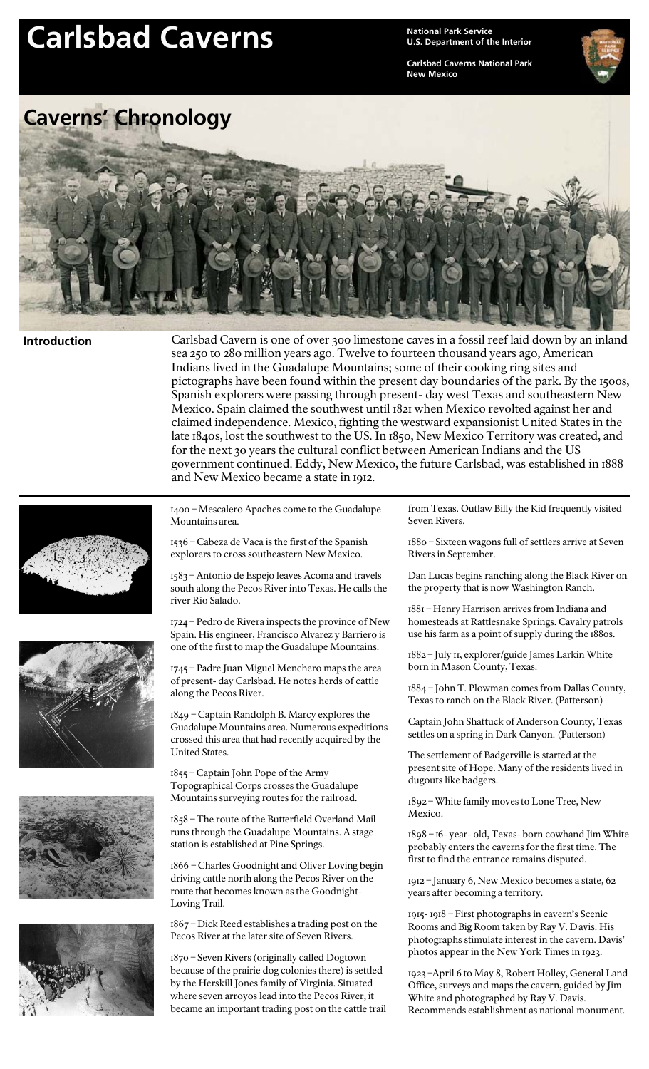## Carlsbad Caverns<br> *Carlsbad* Caverns

**U.S. Department of the Interior**

**Carlsbad Caverns National Park New Mexico**



## **Introduction**

Carlsbad Cavern is one of over 300 limestone caves in a fossil reef laid down by an inland sea 250 to 280 million years ago. Twelve to fourteen thousand years ago, American Indians lived in the Guadalupe Mountains; some of their cooking ring sites and pictographs have been found within the present day boundaries of the park. By the 1500s, Spanish explorers were passing through present-day west Texas and southeastern New Mexico. Spain claimed the southwest until 1821 when Mexico revolted against her and claimed independence. Mexico, fighting the westward expansionist United States in the late 1840s, lost the southwest to the US. In 1850, New Mexico Territory was created, and for the next 30 years the cultural conflict between American Indians and the US government continued. Eddy, New Mexico, the future Carlsbad, was established in 1888 and New Mexico became a state in 1912.









1400 – Mescalero Apaches come to the Guadalupe Mountains area.

1536 – Cabeza de Vaca is the first of the Spanish explorers to cross southeastern New Mexico.

1583 – Antonio de Espejo leaves Acoma and travels south along the Pecos River into Texas. He calls the river Rio Salado.

1724 – Pedro de Rivera inspects the province of New Spain. His engineer, Francisco Alvarez y Barriero is one of the first to map the Guadalupe Mountains.

1745 – Padre Juan Miguel Menchero maps the area of present-day Carlsbad. He notes herds of cattle along the Pecos River.

1849 – Captain Randolph B. Marcy explores the Guadalupe Mountains area. Numerous expeditions crossed this area that had recently acquired by the United States.

1855 – Captain John Pope of the Army Topographical Corps crosses the Guadalupe Mountains surveying routes for the railroad.

1858 – The route of the Butterfield Overland Mail runs through the Guadalupe Mountains. A stage station is established at Pine Springs.

1866 – Charles Goodnight and Oliver Loving begin driving cattle north along the Pecos River on the route that becomes known as the Goodnight-Loving Trail.

1867 – Dick Reed establishes a trading post on the Pecos River at the later site of Seven Rivers.

1870 – Seven Rivers (originally called Dogtown because of the prairie dog colonies there) is settled by the Herskill Jones family of Virginia. Situated where seven arroyos lead into the Pecos River, it became an important trading post on the cattle trail from Texas. Outlaw Billy the Kid frequently visited Seven Rivers.

1880 – Sixteen wagons full of settlers arrive at Seven Rivers in September.

Dan Lucas begins ranching along the Black River on the property that is now Washington Ranch.

1881 – Henry Harrison arrives from Indiana and homesteads at Rattlesnake Springs. Cavalry patrols use his farm as a point of supply during the 1880s.

1882 – July 11, explorer/guide James Larkin White born in Mason County, Texas.

1884 – John T. Plowman comes from Dallas County, Texas to ranch on the Black River. (Patterson)

Captain John Shattuck of Anderson County, Texas settles on a spring in Dark Canyon. (Patterson)

The settlement of Badgerville is started at the present site of Hope. Many of the residents lived in dugouts like badgers.

1892 – White family moves to Lone Tree, New Mexico.

1898 – 16-year-old, Texas-born cowhand Jim White probably enters the caverns for the first time. The first to find the entrance remains disputed.

1912 – January 6, New Mexico becomes a state, 62 years after becoming a territory.

1915-1918 – First photographs in cavern's Scenic Rooms and Big Room taken by Ray V. Davis. His photographs stimulate interest in the cavern. Davis' photos appear in the New York Times in 1923.

1923 –April 6 to May 8, Robert Holley, General Land Office, surveys and maps the cavern, guided by Jim White and photographed by Ray V. Davis. Recommends establishment as national monument.